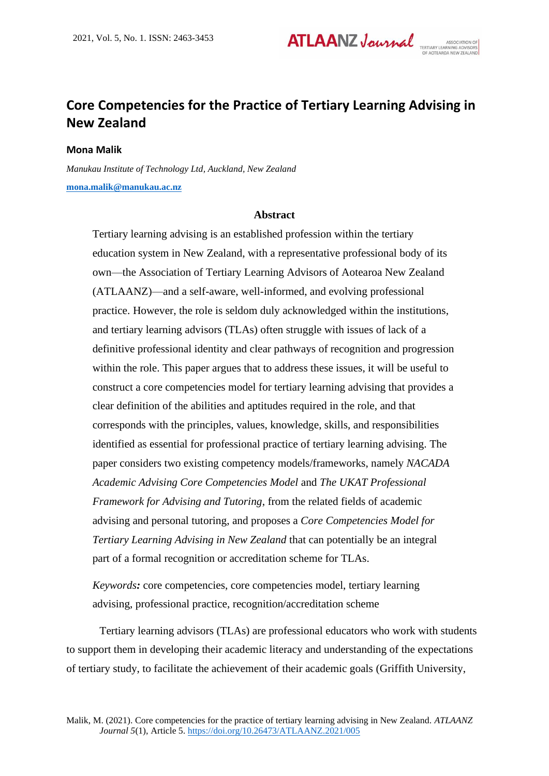# **ATLAANZ Journal**

# **Core Competencies for the Practice of Tertiary Learning Advising in New Zealand**

# **Mona Malik**

*Manukau Institute of Technology Ltd, Auckland, New Zealand* **[mona.malik@manukau.ac.nz](mailto:mona.malik@manukau.ac.nz)**

# **Abstract**

Tertiary learning advising is an established profession within the tertiary education system in New Zealand, with a representative professional body of its own—the Association of Tertiary Learning Advisors of Aotearoa New Zealand (ATLAANZ)—and a self-aware, well-informed, and evolving professional practice. However, the role is seldom duly acknowledged within the institutions, and tertiary learning advisors (TLAs) often struggle with issues of lack of a definitive professional identity and clear pathways of recognition and progression within the role. This paper argues that to address these issues, it will be useful to construct a core competencies model for tertiary learning advising that provides a clear definition of the abilities and aptitudes required in the role, and that corresponds with the principles, values, knowledge, skills, and responsibilities identified as essential for professional practice of tertiary learning advising. The paper considers two existing competency models/frameworks, namely *NACADA Academic Advising Core Competencies Model* and *The UKAT Professional Framework for Advising and Tutoring*, from the related fields of academic advising and personal tutoring, and proposes a *Core Competencies Model for Tertiary Learning Advising in New Zealand* that can potentially be an integral part of a formal recognition or accreditation scheme for TLAs.

*Keywords:* core competencies, core competencies model, tertiary learning advising, professional practice, recognition/accreditation scheme

Tertiary learning advisors (TLAs) are professional educators who work with students to support them in developing their academic literacy and understanding of the expectations of tertiary study, to facilitate the achievement of their academic goals (Griffith University,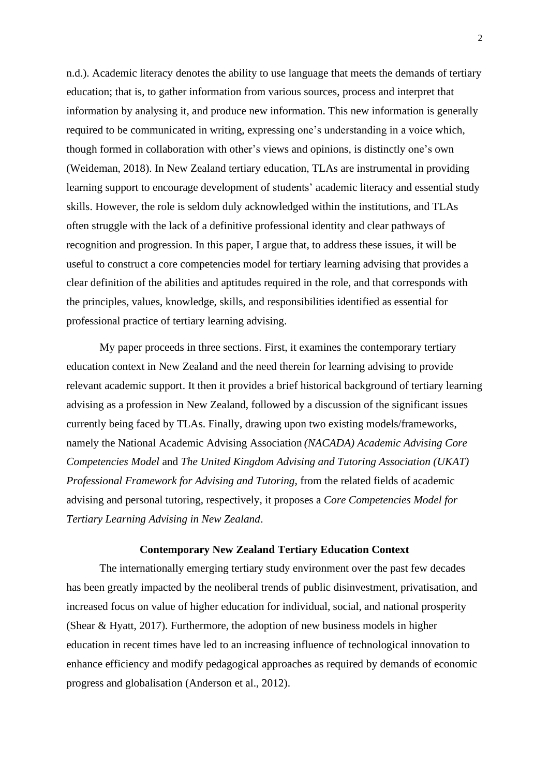n.d.). Academic literacy denotes the ability to use language that meets the demands of tertiary education; that is, to gather information from various sources, process and interpret that information by analysing it, and produce new information. This new information is generally required to be communicated in writing, expressing one's understanding in a voice which, though formed in collaboration with other's views and opinions, is distinctly one's own (Weideman, 2018). In New Zealand tertiary education, TLAs are instrumental in providing learning support to encourage development of students' academic literacy and essential study skills. However, the role is seldom duly acknowledged within the institutions, and TLAs often struggle with the lack of a definitive professional identity and clear pathways of recognition and progression. In this paper, I argue that, to address these issues, it will be useful to construct a core competencies model for tertiary learning advising that provides a clear definition of the abilities and aptitudes required in the role, and that corresponds with the principles, values, knowledge, skills, and responsibilities identified as essential for professional practice of tertiary learning advising.

My paper proceeds in three sections. First, it examines the contemporary tertiary education context in New Zealand and the need therein for learning advising to provide relevant academic support. It then it provides a brief historical background of tertiary learning advising as a profession in New Zealand, followed by a discussion of the significant issues currently being faced by TLAs. Finally, drawing upon two existing models/frameworks, namely the National Academic Advising Association *(NACADA) Academic Advising Core Competencies Model* and *The United Kingdom Advising and Tutoring Association (UKAT) Professional Framework for Advising and Tutoring*, from the related fields of academic advising and personal tutoring, respectively, it proposes a *Core Competencies Model for Tertiary Learning Advising in New Zealand*.

# **Contemporary New Zealand Tertiary Education Context**

The internationally emerging tertiary study environment over the past few decades has been greatly impacted by the neoliberal trends of public disinvestment, privatisation, and increased focus on value of higher education for individual, social, and national prosperity (Shear & Hyatt, 2017). Furthermore, the adoption of new business models in higher education in recent times have led to an increasing influence of technological innovation to enhance efficiency and modify pedagogical approaches as required by demands of economic progress and globalisation (Anderson et al., 2012).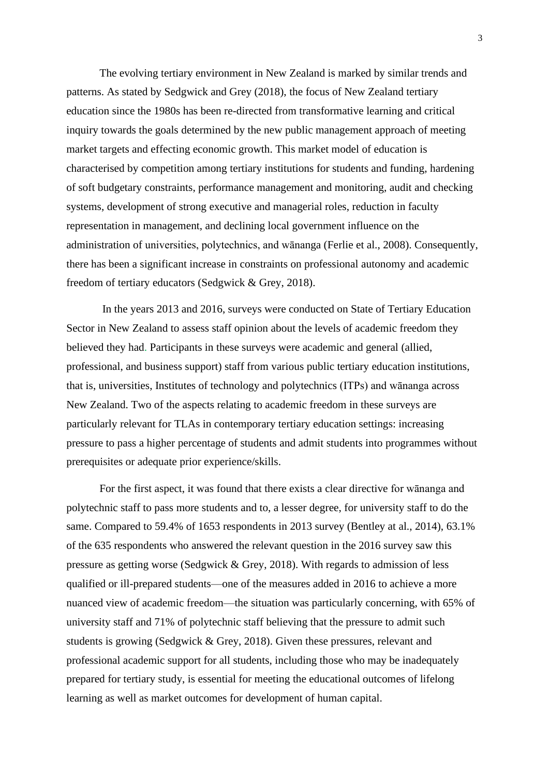The evolving tertiary environment in New Zealand is marked by similar trends and patterns. As stated by Sedgwick and Grey (2018), the focus of New Zealand tertiary education since the 1980s has been re-directed from transformative learning and critical inquiry towards the goals determined by the new public management approach of meeting market targets and effecting economic growth. This market model of education is characterised by competition among tertiary institutions for students and funding, hardening of soft budgetary constraints, performance management and monitoring, audit and checking systems, development of strong executive and managerial roles, reduction in faculty representation in management, and declining local government influence on the administration of universities, polytechnics, and wānanga (Ferlie et al., 2008). Consequently, there has been a significant increase in constraints on professional autonomy and academic freedom of tertiary educators (Sedgwick & Grey, 2018).

In the years 2013 and 2016, surveys were conducted on State of Tertiary Education Sector in New Zealand to assess staff opinion about the levels of academic freedom they believed they had. Participants in these surveys were academic and general (allied, professional, and business support) staff from various public tertiary education institutions, that is, universities, Institutes of technology and polytechnics (ITPs) and wānanga across New Zealand. Two of the aspects relating to academic freedom in these surveys are particularly relevant for TLAs in contemporary tertiary education settings: increasing pressure to pass a higher percentage of students and admit students into programmes without prerequisites or adequate prior experience/skills.

For the first aspect, it was found that there exists a clear directive for wānanga and polytechnic staff to pass more students and to, a lesser degree, for university staff to do the same. Compared to 59.4% of 1653 respondents in 2013 survey (Bentley at al., 2014), 63.1% of the 635 respondents who answered the relevant question in the 2016 survey saw this pressure as getting worse (Sedgwick & Grey, 2018). With regards to admission of less qualified or ill-prepared students—one of the measures added in 2016 to achieve a more nuanced view of academic freedom—the situation was particularly concerning, with 65% of university staff and 71% of polytechnic staff believing that the pressure to admit such students is growing (Sedgwick & Grey, 2018). Given these pressures, relevant and professional academic support for all students, including those who may be inadequately prepared for tertiary study, is essential for meeting the educational outcomes of lifelong learning as well as market outcomes for development of human capital.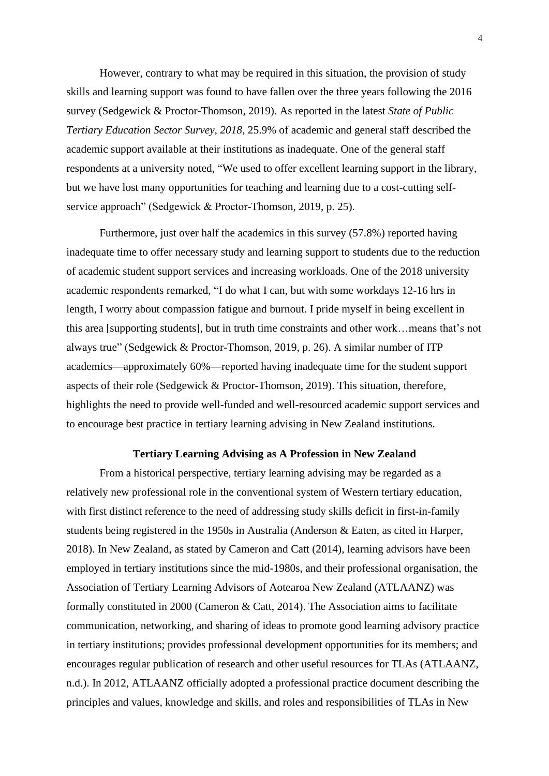However, contrary to what may be required in this situation, the provision of study skills and learning support was found to have fallen over the three years following the 2016 survey (Sedgewick & Proctor-Thomson, 2019). As reported in the latest *State of Public Tertiary Education Sector Survey, 2018*, 25.9% of academic and general staff described the academic support available at their institutions as inadequate. One of the general staff respondents at a university noted, "We used to offer excellent learning support in the library, but we have lost many opportunities for teaching and learning due to a cost-cutting selfservice approach" (Sedgewick & Proctor-Thomson, 2019, p. 25).

Furthermore, just over half the academics in this survey (57.8%) reported having inadequate time to offer necessary study and learning support to students due to the reduction of academic student support services and increasing workloads. One of the 2018 university academic respondents remarked, "I do what I can, but with some workdays 12-16 hrs in length, I worry about compassion fatigue and burnout. I pride myself in being excellent in this area [supporting students], but in truth time constraints and other work…means that's not always true" (Sedgewick & Proctor-Thomson, 2019, p. 26). A similar number of ITP academics—approximately 60%—reported having inadequate time for the student support aspects of their role (Sedgewick & Proctor-Thomson, 2019). This situation, therefore, highlights the need to provide well-funded and well-resourced academic support services and to encourage best practice in tertiary learning advising in New Zealand institutions.

### **Tertiary Learning Advising as A Profession in New Zealand**

From a historical perspective, tertiary learning advising may be regarded as a relatively new professional role in the conventional system of Western tertiary education, with first distinct reference to the need of addressing study skills deficit in first-in-family students being registered in the 1950s in Australia (Anderson & Eaten, as cited in Harper, 2018). In New Zealand, as stated by Cameron and Catt (2014), learning advisors have been employed in tertiary institutions since the mid-1980s, and their professional organisation, the Association of Tertiary Learning Advisors of Aotearoa New Zealand (ATLAANZ) was formally constituted in 2000 (Cameron & Catt, 2014). The Association aims to facilitate communication, networking, and sharing of ideas to promote good learning advisory practice in tertiary institutions; provides professional development opportunities for its members; and encourages regular publication of research and other useful resources for TLAs (ATLAANZ, n.d.). In 2012, ATLAANZ officially adopted a professional practice document describing the principles and values, knowledge and skills, and roles and responsibilities of TLAs in New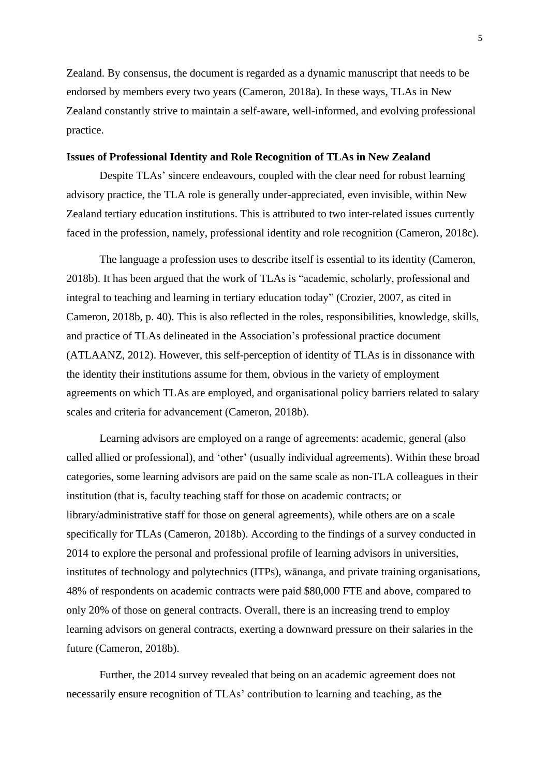Zealand. By consensus, the document is regarded as a dynamic manuscript that needs to be endorsed by members every two years (Cameron, 2018a). In these ways, TLAs in New Zealand constantly strive to maintain a self-aware, well-informed, and evolving professional practice.

# **Issues of Professional Identity and Role Recognition of TLAs in New Zealand**

Despite TLAs' sincere endeavours, coupled with the clear need for robust learning advisory practice, the TLA role is generally under-appreciated, even invisible, within New Zealand tertiary education institutions. This is attributed to two inter-related issues currently faced in the profession, namely, professional identity and role recognition (Cameron, 2018c).

The language a profession uses to describe itself is essential to its identity (Cameron, 2018b). It has been argued that the work of TLAs is "academic, scholarly, professional and integral to teaching and learning in tertiary education today" (Crozier, 2007, as cited in Cameron, 2018b, p. 40). This is also reflected in the roles, responsibilities, knowledge, skills, and practice of TLAs delineated in the Association's professional practice document (ATLAANZ, 2012). However, this self-perception of identity of TLAs is in dissonance with the identity their institutions assume for them, obvious in the variety of employment agreements on which TLAs are employed, and organisational policy barriers related to salary scales and criteria for advancement (Cameron, 2018b).

Learning advisors are employed on a range of agreements: academic, general (also called allied or professional), and 'other' (usually individual agreements). Within these broad categories, some learning advisors are paid on the same scale as non-TLA colleagues in their institution (that is, faculty teaching staff for those on academic contracts; or library/administrative staff for those on general agreements), while others are on a scale specifically for TLAs (Cameron, 2018b). According to the findings of a survey conducted in 2014 to explore the personal and professional profile of learning advisors in universities, institutes of technology and polytechnics (ITPs), wānanga, and private training organisations, 48% of respondents on academic contracts were paid \$80,000 FTE and above, compared to only 20% of those on general contracts. Overall, there is an increasing trend to employ learning advisors on general contracts, exerting a downward pressure on their salaries in the future (Cameron, 2018b).

Further, the 2014 survey revealed that being on an academic agreement does not necessarily ensure recognition of TLAs' contribution to learning and teaching, as the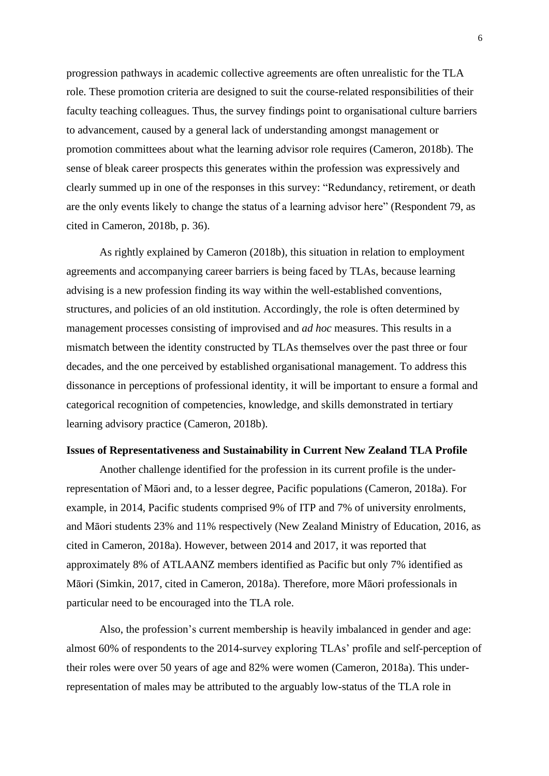progression pathways in academic collective agreements are often unrealistic for the TLA role. These promotion criteria are designed to suit the course-related responsibilities of their faculty teaching colleagues. Thus, the survey findings point to organisational culture barriers to advancement, caused by a general lack of understanding amongst management or promotion committees about what the learning advisor role requires (Cameron, 2018b). The sense of bleak career prospects this generates within the profession was expressively and clearly summed up in one of the responses in this survey: "Redundancy, retirement, or death are the only events likely to change the status of a learning advisor here" (Respondent 79, as cited in Cameron, 2018b, p. 36).

As rightly explained by Cameron (2018b), this situation in relation to employment agreements and accompanying career barriers is being faced by TLAs, because learning advising is a new profession finding its way within the well-established conventions, structures, and policies of an old institution. Accordingly, the role is often determined by management processes consisting of improvised and *ad hoc* measures. This results in a mismatch between the identity constructed by TLAs themselves over the past three or four decades, and the one perceived by established organisational management. To address this dissonance in perceptions of professional identity, it will be important to ensure a formal and categorical recognition of competencies, knowledge, and skills demonstrated in tertiary learning advisory practice (Cameron, 2018b).

### **Issues of Representativeness and Sustainability in Current New Zealand TLA Profile**

Another challenge identified for the profession in its current profile is the underrepresentation of Māori and, to a lesser degree, Pacific populations (Cameron, 2018a). For example, in 2014, Pacific students comprised 9% of ITP and 7% of university enrolments, and Māori students 23% and 11% respectively (New Zealand Ministry of Education, 2016, as cited in Cameron, 2018a). However, between 2014 and 2017, it was reported that approximately 8% of ATLAANZ members identified as Pacific but only 7% identified as Māori (Simkin, 2017, cited in Cameron, 2018a). Therefore, more Māori professionals in particular need to be encouraged into the TLA role.

Also, the profession's current membership is heavily imbalanced in gender and age: almost 60% of respondents to the 2014-survey exploring TLAs' profile and self-perception of their roles were over 50 years of age and 82% were women (Cameron, 2018a). This underrepresentation of males may be attributed to the arguably low-status of the TLA role in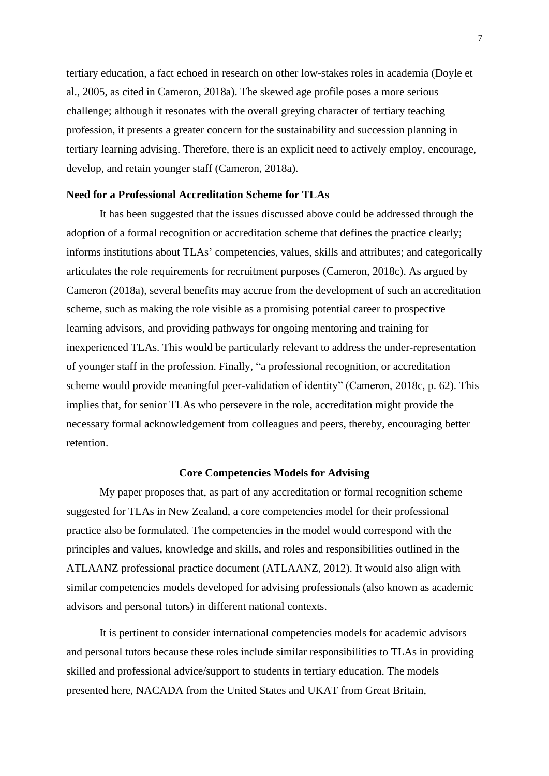tertiary education, a fact echoed in research on other low-stakes roles in academia (Doyle et al., 2005, as cited in Cameron, 2018a). The skewed age profile poses a more serious challenge; although it resonates with the overall greying character of tertiary teaching profession, it presents a greater concern for the sustainability and succession planning in tertiary learning advising. Therefore, there is an explicit need to actively employ, encourage, develop, and retain younger staff (Cameron, 2018a).

# **Need for a Professional Accreditation Scheme for TLAs**

It has been suggested that the issues discussed above could be addressed through the adoption of a formal recognition or accreditation scheme that defines the practice clearly; informs institutions about TLAs' competencies, values, skills and attributes; and categorically articulates the role requirements for recruitment purposes (Cameron, 2018c). As argued by Cameron (2018a), several benefits may accrue from the development of such an accreditation scheme, such as making the role visible as a promising potential career to prospective learning advisors, and providing pathways for ongoing mentoring and training for inexperienced TLAs. This would be particularly relevant to address the under-representation of younger staff in the profession. Finally, "a professional recognition, or accreditation scheme would provide meaningful peer-validation of identity" (Cameron, 2018c, p. 62). This implies that, for senior TLAs who persevere in the role, accreditation might provide the necessary formal acknowledgement from colleagues and peers, thereby, encouraging better retention.

# **Core Competencies Models for Advising**

My paper proposes that, as part of any accreditation or formal recognition scheme suggested for TLAs in New Zealand, a core competencies model for their professional practice also be formulated. The competencies in the model would correspond with the principles and values, knowledge and skills, and roles and responsibilities outlined in the ATLAANZ professional practice document (ATLAANZ, 2012). It would also align with similar competencies models developed for advising professionals (also known as academic advisors and personal tutors) in different national contexts.

It is pertinent to consider international competencies models for academic advisors and personal tutors because these roles include similar responsibilities to TLAs in providing skilled and professional advice/support to students in tertiary education. The models presented here, NACADA from the United States and UKAT from Great Britain,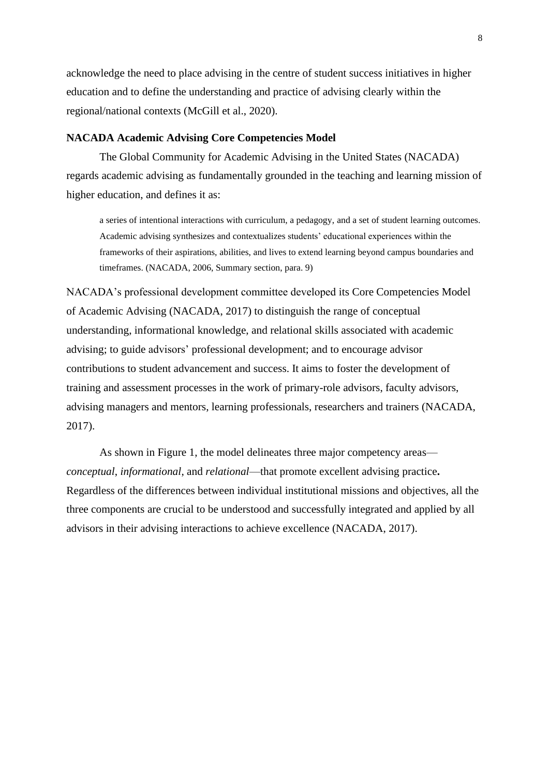acknowledge the need to place advising in the centre of student success initiatives in higher education and to define the understanding and practice of advising clearly within the regional/national contexts (McGill et al., 2020).

## **NACADA Academic Advising Core Competencies Model**

The Global Community for Academic Advising in the United States (NACADA) regards academic advising as fundamentally grounded in the teaching and learning mission of higher education, and defines it as:

a series of intentional interactions with curriculum, a pedagogy, and a set of student learning outcomes. Academic advising synthesizes and contextualizes students' educational experiences within the frameworks of their aspirations, abilities, and lives to extend learning beyond campus boundaries and timeframes. (NACADA, 2006, Summary section, para. 9)

NACADA's professional development committee developed its Core Competencies Model of Academic Advising (NACADA, 2017) to distinguish the range of conceptual understanding, informational knowledge, and relational skills associated with academic advising; to guide advisors' professional development; and to encourage advisor contributions to student advancement and success. It aims to foster the development of training and assessment processes in the work of primary-role advisors, faculty advisors, advising managers and mentors, learning professionals, researchers and trainers (NACADA, 2017).

As shown in Figure 1, the model delineates three major competency areas *conceptual*, *informational*, and *relational*—that promote excellent advising practice**.** Regardless of the differences between individual institutional missions and objectives, all the three components are crucial to be understood and successfully integrated and applied by all advisors in their advising interactions to achieve excellence (NACADA, 2017).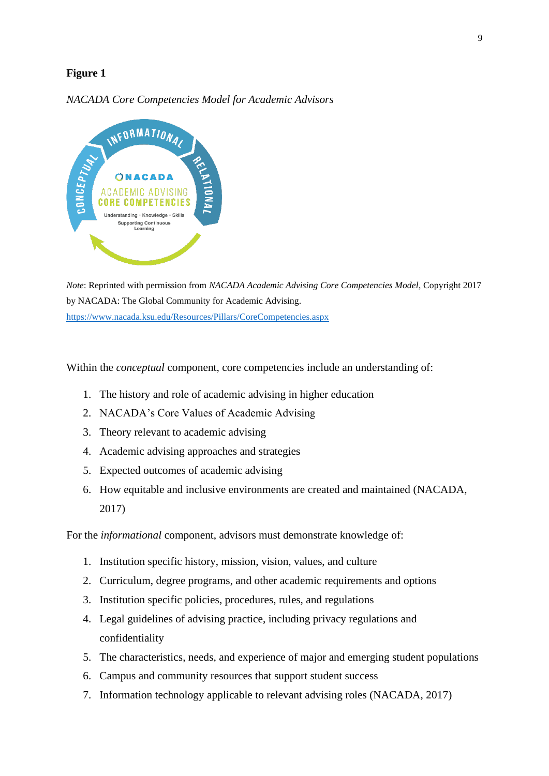# **Figure 1**

# *NACADA Core Competencies Model for Academic Advisors*



*Note*: Reprinted with permission from *NACADA Academic Advising Core Competencies Model*, Copyright 2017 by NACADA: The Global Community for Academic Advising. <https://www.nacada.ksu.edu/Resources/Pillars/CoreCompetencies.aspx>

Within the *conceptual* component, core competencies include an understanding of:

- 1. The history and role of academic advising in higher education
- 2. NACADA's Core Values of Academic Advising
- 3. Theory relevant to academic advising
- 4. Academic advising approaches and strategies
- 5. Expected outcomes of academic advising
- 6. How equitable and inclusive environments are created and maintained (NACADA, 2017)

For the *informational* component, advisors must demonstrate knowledge of:

- 1. Institution specific history, mission, vision, values, and culture
- 2. Curriculum, degree programs, and other academic requirements and options
- 3. Institution specific policies, procedures, rules, and regulations
- 4. Legal guidelines of advising practice, including privacy regulations and confidentiality
- 5. The characteristics, needs, and experience of major and emerging student populations
- 6. Campus and community resources that support student success
- 7. Information technology applicable to relevant advising roles (NACADA, 2017)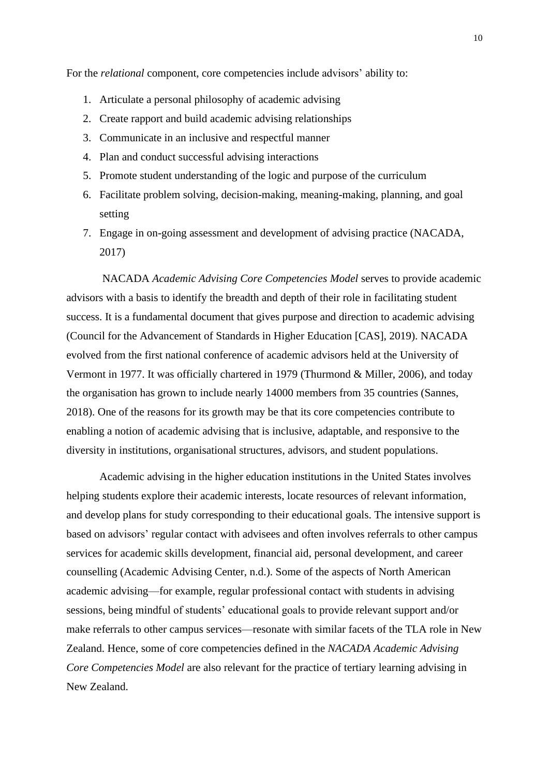For the *relational* component, core competencies include advisors' ability to:

- 1. Articulate a personal philosophy of academic advising
- 2. Create rapport and build academic advising relationships
- 3. Communicate in an inclusive and respectful manner
- 4. Plan and conduct successful advising interactions
- 5. Promote student understanding of the logic and purpose of the curriculum
- 6. Facilitate problem solving, decision-making, meaning-making, planning, and goal setting
- 7. Engage in on-going assessment and development of advising practice (NACADA, 2017)

NACADA *Academic Advising Core Competencies Model* serves to provide academic advisors with a basis to identify the breadth and depth of their role in facilitating student success. It is a fundamental document that gives purpose and direction to academic advising (Council for the Advancement of Standards in Higher Education [CAS], 2019). NACADA evolved from the first national conference of academic advisors held at the University of Vermont in 1977. It was officially chartered in 1979 (Thurmond & Miller, 2006), and today the organisation has grown to include nearly 14000 members from 35 countries (Sannes, 2018). One of the reasons for its growth may be that its core competencies contribute to enabling a notion of academic advising that is inclusive, adaptable, and responsive to the diversity in institutions, organisational structures, advisors, and student populations.

Academic advising in the higher education institutions in the United States involves helping students explore their academic interests, locate resources of relevant information, and develop plans for study corresponding to their educational goals. The intensive support is based on advisors' regular contact with advisees and often involves referrals to other campus services for academic skills development, financial aid, personal development, and career counselling (Academic Advising Center, n.d.). Some of the aspects of North American academic advising—for example, regular professional contact with students in advising sessions, being mindful of students' educational goals to provide relevant support and/or make referrals to other campus services—resonate with similar facets of the TLA role in New Zealand. Hence, some of core competencies defined in the *NACADA Academic Advising Core Competencies Model* are also relevant for the practice of tertiary learning advising in New Zealand.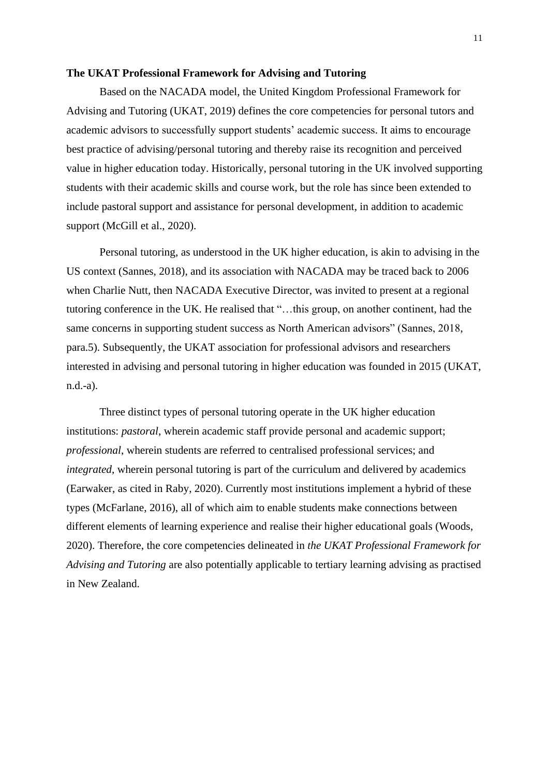#### **The UKAT Professional Framework for Advising and Tutoring**

Based on the NACADA model, the United Kingdom Professional Framework for Advising and Tutoring (UKAT, 2019) defines the core competencies for personal tutors and academic advisors to successfully support students' academic success. It aims to encourage best practice of advising/personal tutoring and thereby raise its recognition and perceived value in higher education today. Historically, personal tutoring in the UK involved supporting students with their academic skills and course work, but the role has since been extended to include pastoral support and assistance for personal development, in addition to academic support (McGill et al., 2020).

Personal tutoring, as understood in the UK higher education, is akin to advising in the US context (Sannes, 2018), and its association with NACADA may be traced back to 2006 when Charlie Nutt, then NACADA Executive Director, was invited to present at a regional tutoring conference in the UK. He realised that "…this group, on another continent, had the same concerns in supporting student success as North American advisors" (Sannes, 2018, para.5). Subsequently, the UKAT association for professional advisors and researchers interested in advising and personal tutoring in higher education was founded in 2015 (UKAT, n.d.-a).

Three distinct types of personal tutoring operate in the UK higher education institutions: *pastoral*, wherein academic staff provide personal and academic support; *professional*, wherein students are referred to centralised professional services; and *integrated*, wherein personal tutoring is part of the curriculum and delivered by academics (Earwaker, as cited in Raby, 2020). Currently most institutions implement a hybrid of these types (McFarlane, 2016), all of which aim to enable students make connections between different elements of learning experience and realise their higher educational goals (Woods, 2020). Therefore, the core competencies delineated in *the UKAT Professional Framework for Advising and Tutoring* are also potentially applicable to tertiary learning advising as practised in New Zealand.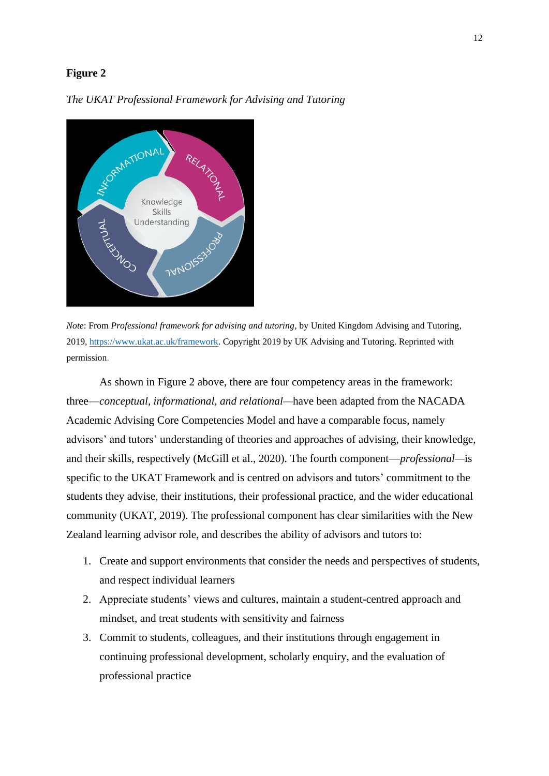# **Figure 2**



*The UKAT Professional Framework for Advising and Tutoring*

*Note*: From *Professional framework for advising and tutoring*, by United Kingdom Advising and Tutoring, 2019, [https://www.ukat.ac.uk/framework.](https://www.ukat.ac.uk/framework) Copyright 2019 by UK Advising and Tutoring. Reprinted with permission.

As shown in Figure 2 above, there are four competency areas in the framework: three—*conceptual, informational, and relational—*have been adapted from the NACADA Academic Advising Core Competencies Model and have a comparable focus, namely advisors' and tutors' understanding of theories and approaches of advising, their knowledge, and their skills, respectively (McGill et al., 2020). The fourth component—*professional—*is specific to the UKAT Framework and is centred on advisors and tutors' commitment to the students they advise, their institutions, their professional practice, and the wider educational community (UKAT, 2019). The professional component has clear similarities with the New Zealand learning advisor role, and describes the ability of advisors and tutors to:

- 1. Create and support environments that consider the needs and perspectives of students, and respect individual learners
- 2. Appreciate students' views and cultures, maintain a student-centred approach and mindset, and treat students with sensitivity and fairness
- 3. Commit to students, colleagues, and their institutions through engagement in continuing professional development, scholarly enquiry, and the evaluation of professional practice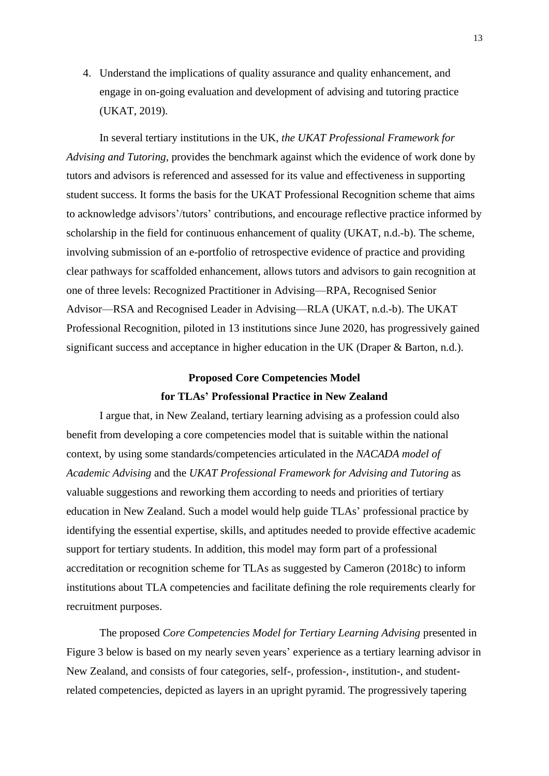4. Understand the implications of quality assurance and quality enhancement, and engage in on-going evaluation and development of advising and tutoring practice (UKAT, 2019).

In several tertiary institutions in the UK, *the UKAT Professional Framework for Advising and Tutoring*, provides the benchmark against which the evidence of work done by tutors and advisors is referenced and assessed for its value and effectiveness in supporting student success. It forms the basis for the UKAT Professional Recognition scheme that aims to acknowledge advisors'/tutors' contributions, and encourage reflective practice informed by scholarship in the field for continuous enhancement of quality (UKAT, n.d.-b). The scheme, involving submission of an e-portfolio of retrospective evidence of practice and providing clear pathways for scaffolded enhancement, allows tutors and advisors to gain recognition at one of three levels: Recognized Practitioner in Advising—RPA, Recognised Senior Advisor—RSA and Recognised Leader in Advising—RLA (UKAT, n.d.-b). The UKAT Professional Recognition, piloted in 13 institutions since June 2020, has progressively gained significant success and acceptance in higher education in the UK (Draper & Barton, n.d.).

# **Proposed Core Competencies Model for TLAs' Professional Practice in New Zealand**

I argue that, in New Zealand, tertiary learning advising as a profession could also benefit from developing a core competencies model that is suitable within the national context, by using some standards/competencies articulated in the *NACADA model of Academic Advising* and the *UKAT Professional Framework for Advising and Tutoring* as valuable suggestions and reworking them according to needs and priorities of tertiary education in New Zealand. Such a model would help guide TLAs' professional practice by identifying the essential expertise, skills, and aptitudes needed to provide effective academic support for tertiary students. In addition, this model may form part of a professional accreditation or recognition scheme for TLAs as suggested by Cameron (2018c) to inform institutions about TLA competencies and facilitate defining the role requirements clearly for recruitment purposes.

The proposed *Core Competencies Model for Tertiary Learning Advising* presented in Figure 3 below is based on my nearly seven years' experience as a tertiary learning advisor in New Zealand, and consists of four categories, self-, profession-, institution-, and studentrelated competencies, depicted as layers in an upright pyramid. The progressively tapering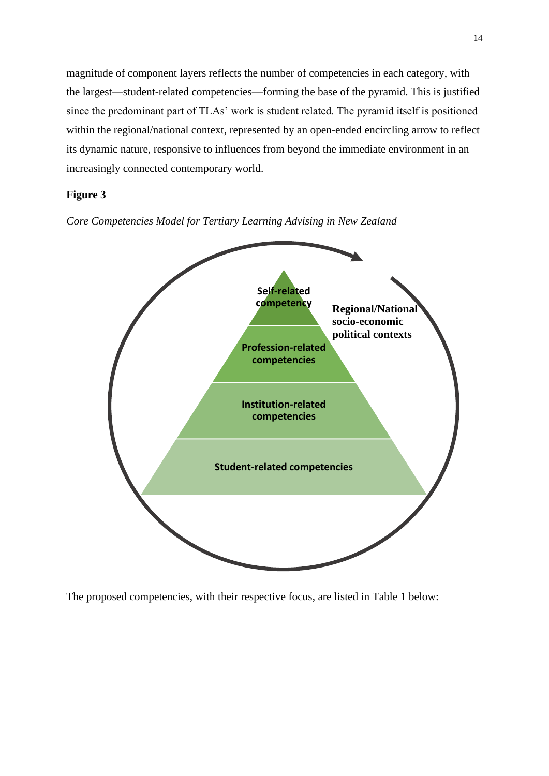magnitude of component layers reflects the number of competencies in each category, with the largest—student-related competencies—forming the base of the pyramid. This is justified since the predominant part of TLAs' work is student related. The pyramid itself is positioned within the regional/national context, represented by an open-ended encircling arrow to reflect its dynamic nature, responsive to influences from beyond the immediate environment in an increasingly connected contemporary world.

# **Figure 3**

*Core Competencies Model for Tertiary Learning Advising in New Zealand*



The proposed competencies, with their respective focus, are listed in Table 1 below: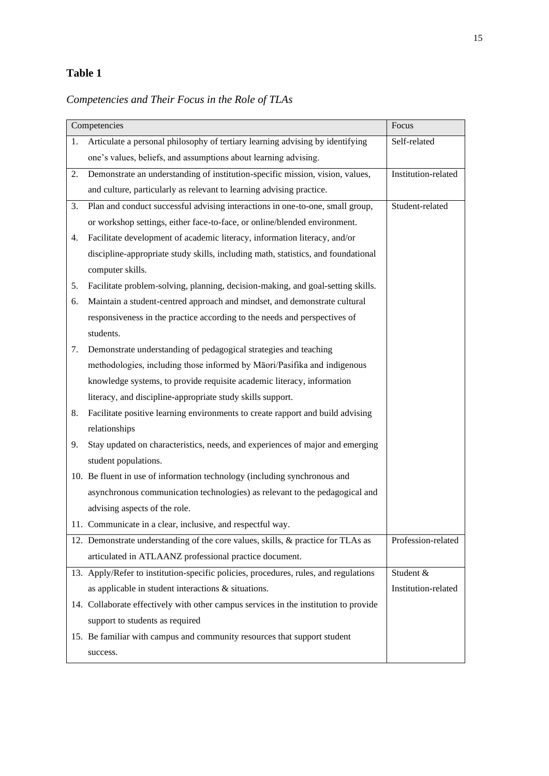# **Table 1**

# *Competencies and Their Focus in the Role of TLAs*

| Competencies |                                                                                      | Focus               |
|--------------|--------------------------------------------------------------------------------------|---------------------|
| 1.           | Articulate a personal philosophy of tertiary learning advising by identifying        | Self-related        |
|              | one's values, beliefs, and assumptions about learning advising.                      |                     |
| 2.           | Demonstrate an understanding of institution-specific mission, vision, values,        | Institution-related |
|              | and culture, particularly as relevant to learning advising practice.                 |                     |
| 3.           | Plan and conduct successful advising interactions in one-to-one, small group,        | Student-related     |
|              | or workshop settings, either face-to-face, or online/blended environment.            |                     |
| 4.           | Facilitate development of academic literacy, information literacy, and/or            |                     |
|              | discipline-appropriate study skills, including math, statistics, and foundational    |                     |
|              | computer skills.                                                                     |                     |
| 5.           | Facilitate problem-solving, planning, decision-making, and goal-setting skills.      |                     |
| 6.           | Maintain a student-centred approach and mindset, and demonstrate cultural            |                     |
|              | responsiveness in the practice according to the needs and perspectives of            |                     |
|              | students.                                                                            |                     |
| 7.           | Demonstrate understanding of pedagogical strategies and teaching                     |                     |
|              | methodologies, including those informed by Māori/Pasifika and indigenous             |                     |
|              | knowledge systems, to provide requisite academic literacy, information               |                     |
|              | literacy, and discipline-appropriate study skills support.                           |                     |
| 8.           | Facilitate positive learning environments to create rapport and build advising       |                     |
|              | relationships                                                                        |                     |
| 9.           | Stay updated on characteristics, needs, and experiences of major and emerging        |                     |
|              | student populations.                                                                 |                     |
|              | 10. Be fluent in use of information technology (including synchronous and            |                     |
|              | asynchronous communication technologies) as relevant to the pedagogical and          |                     |
|              | advising aspects of the role.                                                        |                     |
|              | 11. Communicate in a clear, inclusive, and respectful way.                           |                     |
|              | 12. Demonstrate understanding of the core values, skills, & practice for TLAs as     | Profession-related  |
|              | articulated in ATLAANZ professional practice document.                               |                     |
|              | 13. Apply/Refer to institution-specific policies, procedures, rules, and regulations | Student &           |
|              | as applicable in student interactions & situations.                                  | Institution-related |
|              | 14. Collaborate effectively with other campus services in the institution to provide |                     |
|              | support to students as required                                                      |                     |
|              | 15. Be familiar with campus and community resources that support student             |                     |
|              | success.                                                                             |                     |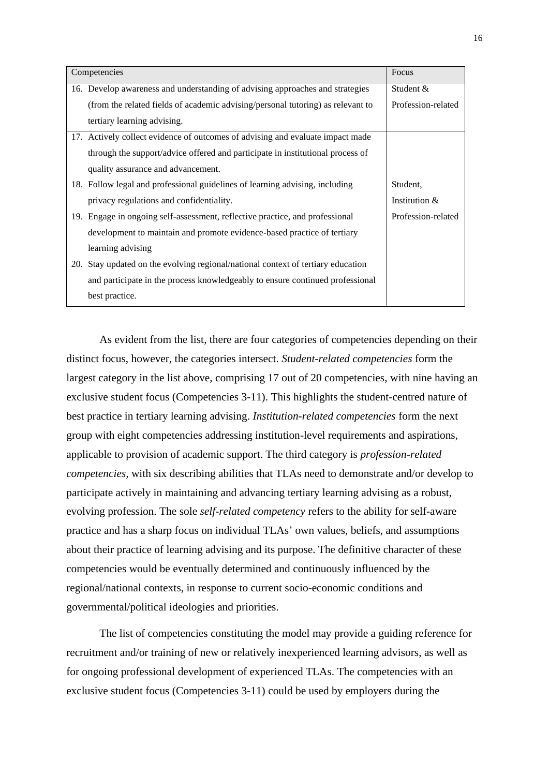| Competencies |                                                                                  | <b>Focus</b>       |
|--------------|----------------------------------------------------------------------------------|--------------------|
|              | 16. Develop awareness and understanding of advising approaches and strategies    | Student $&$        |
|              | (from the related fields of academic advising/personal tutoring) as relevant to  | Profession-related |
|              | tertiary learning advising.                                                      |                    |
|              | 17. Actively collect evidence of outcomes of advising and evaluate impact made   |                    |
|              | through the support/advice offered and participate in institutional process of   |                    |
|              | quality assurance and advancement.                                               |                    |
|              | 18. Follow legal and professional guidelines of learning advising, including     | Student,           |
|              | privacy regulations and confidentiality.                                         | Institution &      |
|              | 19. Engage in ongoing self-assessment, reflective practice, and professional     | Profession-related |
|              | development to maintain and promote evidence-based practice of tertiary          |                    |
|              | learning advising                                                                |                    |
|              | 20. Stay updated on the evolving regional/national context of tertiary education |                    |
|              | and participate in the process knowledgeably to ensure continued professional    |                    |
|              | best practice.                                                                   |                    |

As evident from the list, there are four categories of competencies depending on their distinct focus, however, the categories intersect. *Student-related competencies* form the largest category in the list above, comprising 17 out of 20 competencies, with nine having an exclusive student focus (Competencies 3-11). This highlights the student-centred nature of best practice in tertiary learning advising. *Institution-related competencies* form the next group with eight competencies addressing institution-level requirements and aspirations, applicable to provision of academic support. The third category is *profession-related competencies,* with six describing abilities that TLAs need to demonstrate and/or develop to participate actively in maintaining and advancing tertiary learning advising as a robust, evolving profession. The sole *self-related competency* refers to the ability for self-aware practice and has a sharp focus on individual TLAs' own values, beliefs, and assumptions about their practice of learning advising and its purpose. The definitive character of these competencies would be eventually determined and continuously influenced by the regional/national contexts, in response to current socio-economic conditions and governmental/political ideologies and priorities.

The list of competencies constituting the model may provide a guiding reference for recruitment and/or training of new or relatively inexperienced learning advisors, as well as for ongoing professional development of experienced TLAs. The competencies with an exclusive student focus (Competencies 3-11) could be used by employers during the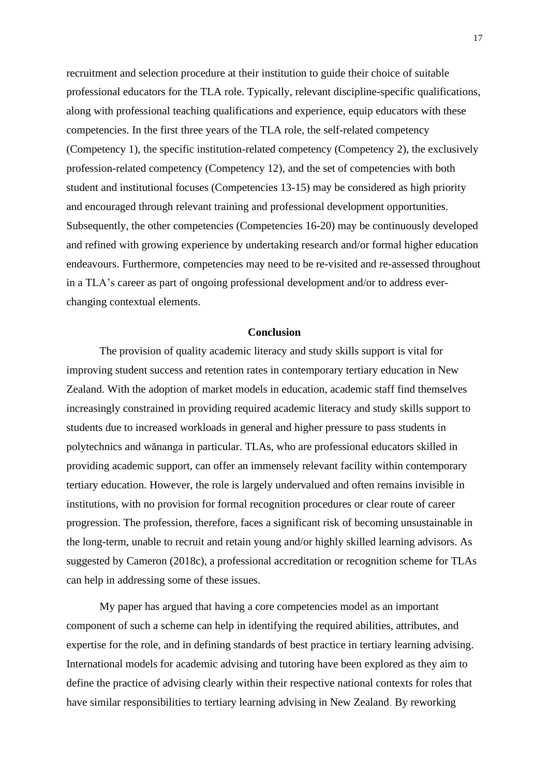recruitment and selection procedure at their institution to guide their choice of suitable professional educators for the TLA role. Typically, relevant discipline-specific qualifications, along with professional teaching qualifications and experience, equip educators with these competencies. In the first three years of the TLA role, the self-related competency (Competency 1), the specific institution-related competency (Competency 2), the exclusively profession-related competency (Competency 12), and the set of competencies with both student and institutional focuses (Competencies 13-15) may be considered as high priority and encouraged through relevant training and professional development opportunities. Subsequently, the other competencies (Competencies 16-20) may be continuously developed and refined with growing experience by undertaking research and/or formal higher education endeavours. Furthermore, competencies may need to be re-visited and re-assessed throughout in a TLA's career as part of ongoing professional development and/or to address everchanging contextual elements.

# **Conclusion**

The provision of quality academic literacy and study skills support is vital for improving student success and retention rates in contemporary tertiary education in New Zealand. With the adoption of market models in education, academic staff find themselves increasingly constrained in providing required academic literacy and study skills support to students due to increased workloads in general and higher pressure to pass students in polytechnics and wānanga in particular. TLAs, who are professional educators skilled in providing academic support, can offer an immensely relevant facility within contemporary tertiary education. However, the role is largely undervalued and often remains invisible in institutions, with no provision for formal recognition procedures or clear route of career progression. The profession, therefore, faces a significant risk of becoming unsustainable in the long-term, unable to recruit and retain young and/or highly skilled learning advisors. As suggested by Cameron (2018c), a professional accreditation or recognition scheme for TLAs can help in addressing some of these issues.

My paper has argued that having a core competencies model as an important component of such a scheme can help in identifying the required abilities, attributes, and expertise for the role, and in defining standards of best practice in tertiary learning advising. International models for academic advising and tutoring have been explored as they aim to define the practice of advising clearly within their respective national contexts for roles that have similar responsibilities to tertiary learning advising in New Zealand. By reworking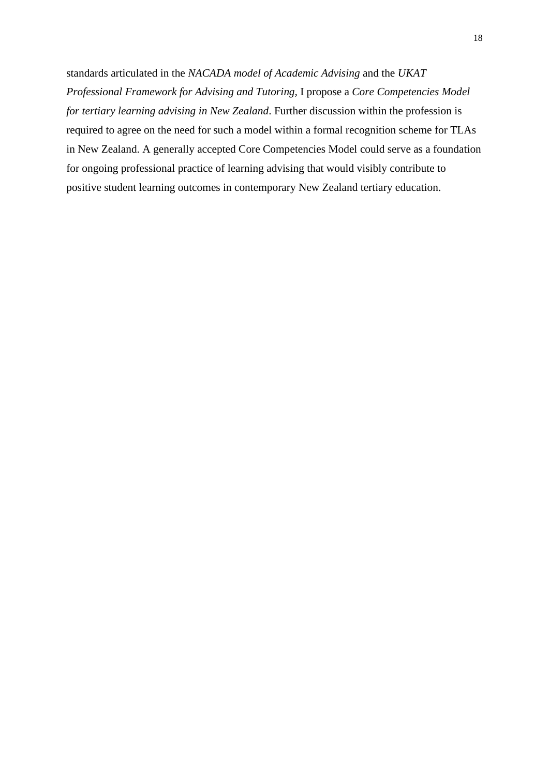standards articulated in the *NACADA model of Academic Advising* and the *UKAT Professional Framework for Advising and Tutoring,* I propose a *Core Competencies Model for tertiary learning advising in New Zealand*. Further discussion within the profession is required to agree on the need for such a model within a formal recognition scheme for TLAs in New Zealand. A generally accepted Core Competencies Model could serve as a foundation for ongoing professional practice of learning advising that would visibly contribute to positive student learning outcomes in contemporary New Zealand tertiary education.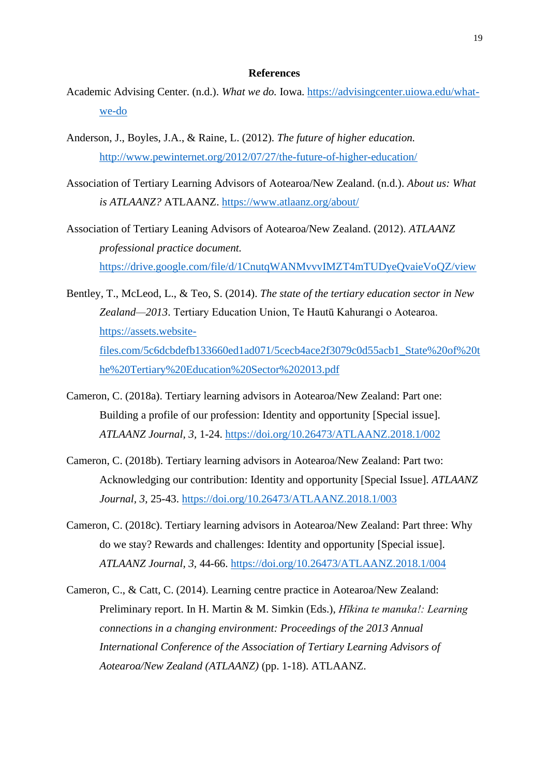# **References**

- Academic Advising Center. (n.d.). *What we do.* Iowa. [https://advisingcenter.uiowa.edu/what](about:blank)[we-do](about:blank)
- Anderson, J., Boyles, J.A., & Raine, L. (2012). *The future of higher education.* [http://www.pewinternet.org/2012/07/27/the-future-of-higher-education/](about:blank)
- Association of Tertiary Learning Advisors of Aotearoa/New Zealand. (n.d.). *About us: What is ATLAANZ?* ATLAANZ. [https://www.atlaanz.org/about/](about:blank)
- Association of Tertiary Leaning Advisors of Aotearoa/New Zealand. (2012). *ATLAANZ professional practice document.* [https://drive.google.com/file/d/1CnutqWANMvvvIMZT4mTUDyeQvaieVoQZ/view](about:blank)
- Bentley, T., McLeod, L., & Teo, S. (2014). *The state of the tertiary education sector in New Zealand—2013*. Tertiary Education Union, Te Hautū Kahurangi o Aotearoa. [https://assets.website](about:blank)[files.com/5c6dcbdefb133660ed1ad071/5cecb4ace2f3079c0d55acb1\\_State%20of%20t](about:blank) [he%20Tertiary%20Education%20Sector%202013.pdf](about:blank)
- Cameron, C. (2018a). Tertiary learning advisors in Aotearoa/New Zealand: Part one: Building a profile of our profession: Identity and opportunity [Special issue]. *ATLAANZ Journal, 3,* 1-24. [https://doi.org/10.26473/ATLAANZ.2018.1/002](about:blank)
- Cameron, C. (2018b). Tertiary learning advisors in Aotearoa/New Zealand: Part two: Acknowledging our contribution: Identity and opportunity [Special Issue]. *ATLAANZ Journal, 3*, 25-43. [https://doi.org/10.26473/ATLAANZ.2018.1/003](about:blank)
- Cameron, C. (2018c). Tertiary learning advisors in Aotearoa/New Zealand: Part three: Why do we stay? Rewards and challenges: Identity and opportunity [Special issue]. *ATLAANZ Journal, 3,* 44-66. https://doi.org/10.26473/ATLAANZ.2018.1/004
- Cameron, C., & Catt, C. (2014). Learning centre practice in Aotearoa/New Zealand: Preliminary report. In H. Martin & M. Simkin (Eds.), *Hīkina te manuka!: Learning connections in a changing environment: Proceedings of the 2013 Annual International Conference of the Association of Tertiary Learning Advisors of Aotearoa/New Zealand (ATLAANZ)* (pp. 1-18). ATLAANZ.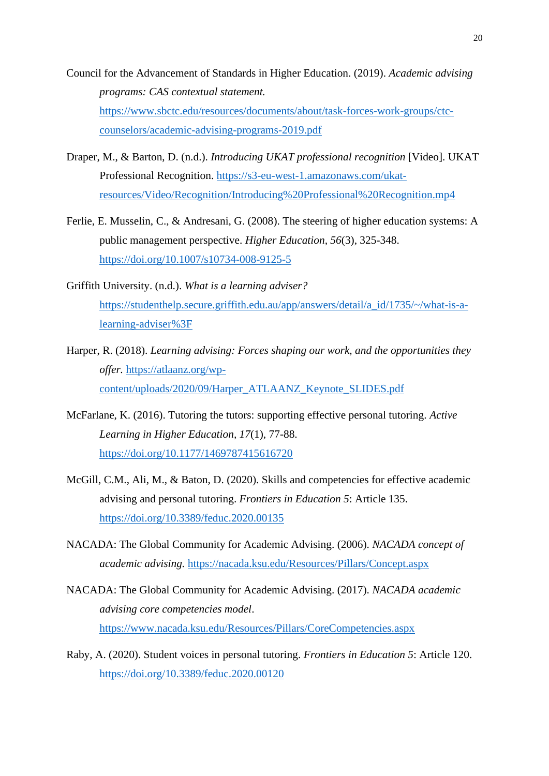- Council for the Advancement of Standards in Higher Education. (2019). *Academic advising programs: CAS contextual statement.* [https://www.sbctc.edu/resources/documents/about/task-forces-work-groups/ctc](about:blank)[counselors/academic-advising-programs-2019.pdf](about:blank)
- Draper, M., & Barton, D. (n.d.). *Introducing UKAT professional recognition* [Video]. UKAT Professional Recognition. [https://s3-eu-west-1.amazonaws.com/ukat](about:blank)[resources/Video/Recognition/Introducing%20Professional%20Recognition.mp4](about:blank)
- Ferlie, E. Musselin, C., & Andresani, G. (2008). The steering of higher education systems: A public management perspective. *Higher Education, 56*(3), 325-348. [https://doi.org/10.1007/s10734-008-9125-5](about:blank)
- Griffith University. (n.d.). *What is a learning adviser?*  [https://studenthelp.secure.griffith.edu.au/app/answers/detail/a\\_id/1735/~/what-is-a](about:blank)[learning-adviser%3F](about:blank)
- Harper, R. (2018). *Learning advising: Forces shaping our work, and the opportunities they offer.* https://atlaanz.org/wpcontent/uploads/2020/09/Harper\_ATLAANZ\_Keynote\_SLIDES.pdf
- McFarlane, K. (2016). Tutoring the tutors: supporting effective personal tutoring. *Active Learning in Higher Education, 17*(1), 77-88. [https://doi.org/10.1177/1469787415616720](about:blank)
- McGill, C.M., Ali, M., & Baton, D. (2020). Skills and competencies for effective academic advising and personal tutoring. *Frontiers in Education 5*: Article 135. [https://doi.org/10.3389/feduc.2020.00135](about:blank)
- NACADA: The Global Community for Academic Advising. (2006). *NACADA concept of academic advising.* [https://nacada.ksu.edu/Resources/Pillars/Concept.aspx](about:blank)
- NACADA: The Global Community for Academic Advising. (2017). *NACADA academic advising core competencies model*. [https://www.nacada.ksu.edu/Resources/Pillars/CoreCompetencies.aspx](about:blank)
- Raby, A. (2020). Student voices in personal tutoring. *Frontiers in Education 5*: Article 120. [https://doi.org/10.3389/feduc.2020.00120](about:blank)